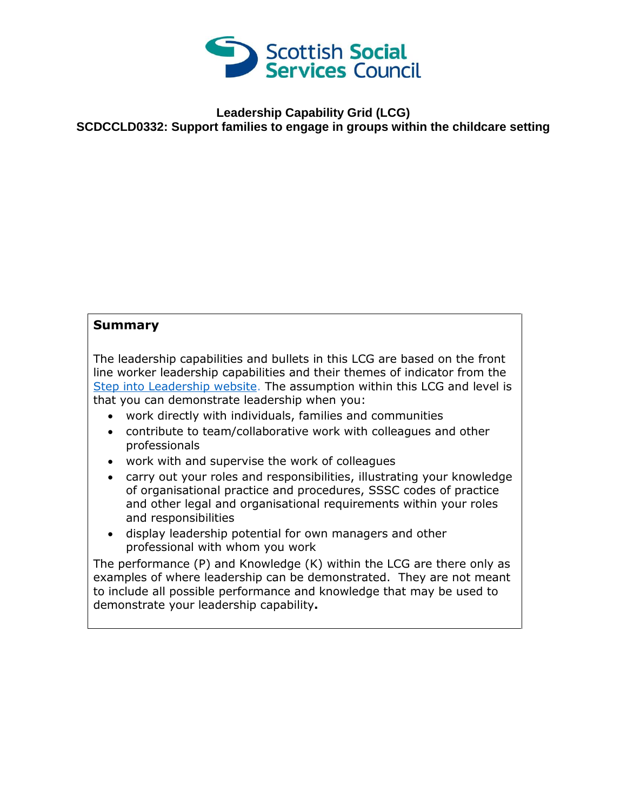

## **Leadership Capability Grid (LCG) SCDCCLD0332: Support families to engage in groups within the childcare setting**

## **Summary**

The leadership capabilities and bullets in this LCG are based on the front line worker leadership capabilities and their themes of indicator from the [Step into Leadership website.](http://www.stepintoleadership.info/) The assumption within this LCG and level is that you can demonstrate leadership when you:

- work directly with individuals, families and communities
- contribute to team/collaborative work with colleagues and other professionals
- work with and supervise the work of colleagues
- carry out your roles and responsibilities, illustrating your knowledge of organisational practice and procedures, SSSC codes of practice and other legal and organisational requirements within your roles and responsibilities
- display leadership potential for own managers and other professional with whom you work

The performance (P) and Knowledge (K) within the LCG are there only as examples of where leadership can be demonstrated. They are not meant to include all possible performance and knowledge that may be used to demonstrate your leadership capability**.**